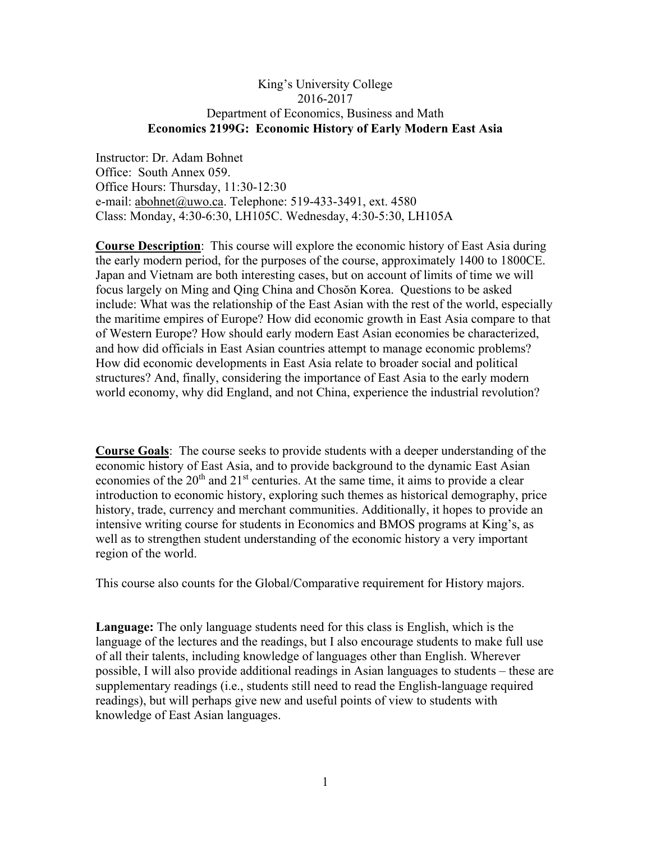# King's University College 2016-2017 Department of Economics, Business and Math **Economics 2199G: Economic History of Early Modern East Asia**

Instructor: Dr. Adam Bohnet Office: South Annex 059. Office Hours: Thursday, 11:30-12:30 e-mail: abohnet@uwo.ca. Telephone: 519-433-3491, ext. 4580 Class: Monday, 4:30-6:30, LH105C. Wednesday, 4:30-5:30, LH105A

**Course Description**: This course will explore the economic history of East Asia during the early modern period, for the purposes of the course, approximately 1400 to 1800CE. Japan and Vietnam are both interesting cases, but on account of limits of time we will focus largely on Ming and Qing China and Chosŏn Korea. Questions to be asked include: What was the relationship of the East Asian with the rest of the world, especially the maritime empires of Europe? How did economic growth in East Asia compare to that of Western Europe? How should early modern East Asian economies be characterized, and how did officials in East Asian countries attempt to manage economic problems? How did economic developments in East Asia relate to broader social and political structures? And, finally, considering the importance of East Asia to the early modern world economy, why did England, and not China, experience the industrial revolution?

**Course Goals**: The course seeks to provide students with a deeper understanding of the economic history of East Asia, and to provide background to the dynamic East Asian economies of the  $20<sup>th</sup>$  and  $21<sup>st</sup>$  centuries. At the same time, it aims to provide a clear introduction to economic history, exploring such themes as historical demography, price history, trade, currency and merchant communities. Additionally, it hopes to provide an intensive writing course for students in Economics and BMOS programs at King's, as well as to strengthen student understanding of the economic history a very important region of the world.

This course also counts for the Global/Comparative requirement for History majors.

**Language:** The only language students need for this class is English, which is the language of the lectures and the readings, but I also encourage students to make full use of all their talents, including knowledge of languages other than English. Wherever possible, I will also provide additional readings in Asian languages to students – these are supplementary readings (i.e., students still need to read the English-language required readings), but will perhaps give new and useful points of view to students with knowledge of East Asian languages.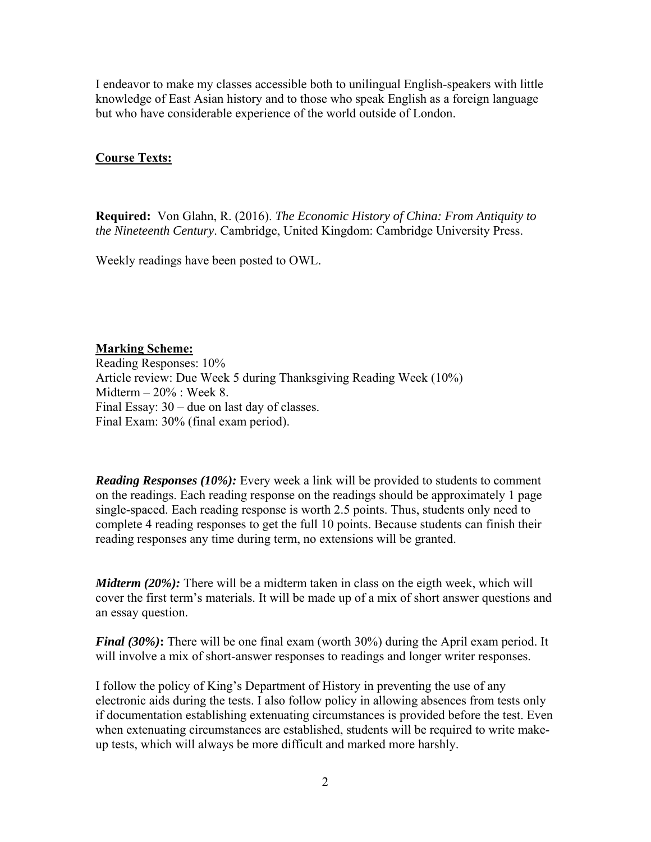I endeavor to make my classes accessible both to unilingual English-speakers with little knowledge of East Asian history and to those who speak English as a foreign language but who have considerable experience of the world outside of London.

# **Course Texts:**

**Required:** Von Glahn, R. (2016). *The Economic History of China: From Antiquity to the Nineteenth Century*. Cambridge, United Kingdom: Cambridge University Press.

Weekly readings have been posted to OWL.

## **Marking Scheme:**

Reading Responses: 10% Article review: Due Week 5 during Thanksgiving Reading Week (10%) Midterm – 20% : Week 8. Final Essay: 30 – due on last day of classes. Final Exam: 30% (final exam period).

*Reading Responses (10%):* Every week a link will be provided to students to comment on the readings. Each reading response on the readings should be approximately 1 page single-spaced. Each reading response is worth 2.5 points. Thus, students only need to complete 4 reading responses to get the full 10 points. Because students can finish their reading responses any time during term, no extensions will be granted.

*Midterm (20%):* There will be a midterm taken in class on the eigth week, which will cover the first term's materials. It will be made up of a mix of short answer questions and an essay question.

*Final (30%)*: There will be one final exam (worth 30%) during the April exam period. It will involve a mix of short-answer responses to readings and longer writer responses.

I follow the policy of King's Department of History in preventing the use of any electronic aids during the tests. I also follow policy in allowing absences from tests only if documentation establishing extenuating circumstances is provided before the test. Even when extenuating circumstances are established, students will be required to write makeup tests, which will always be more difficult and marked more harshly.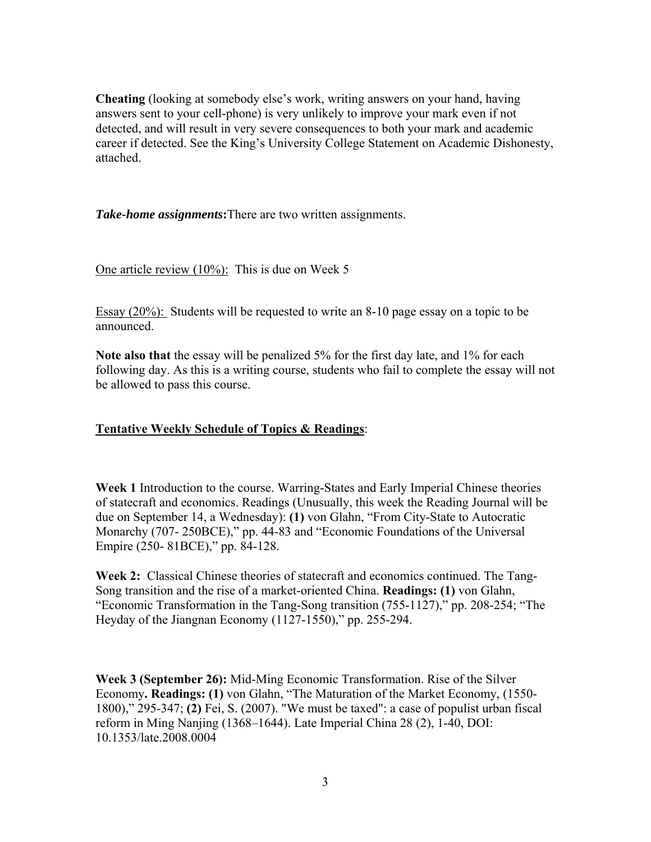**Cheating** (looking at somebody else's work, writing answers on your hand, having answers sent to your cell-phone) is very unlikely to improve your mark even if not detected, and will result in very severe consequences to both your mark and academic career if detected. See the King's University College Statement on Academic Dishonesty, attached.

*Take-home assignments***:**There are two written assignments.

One article review (10%): This is due on Week 5

Essay (20%): Students will be requested to write an 8-10 page essay on a topic to be announced.

**Note also that** the essay will be penalized 5% for the first day late, and 1% for each following day. As this is a writing course, students who fail to complete the essay will not be allowed to pass this course.

# **Tentative Weekly Schedule of Topics & Readings**:

**Week 1** Introduction to the course. Warring-States and Early Imperial Chinese theories of statecraft and economics. Readings (Unusually, this week the Reading Journal will be due on September 14, a Wednesday): **(1)** von Glahn, "From City-State to Autocratic Monarchy (707- 250BCE)," pp. 44-83 and "Economic Foundations of the Universal Empire (250- 81BCE)," pp. 84-128.

**Week 2:** Classical Chinese theories of statecraft and economics continued. The Tang-Song transition and the rise of a market-oriented China. **Readings: (1)** von Glahn, "Economic Transformation in the Tang-Song transition (755-1127)," pp. 208-254; "The Heyday of the Jiangnan Economy (1127-1550)," pp. 255-294.

**Week 3 (September 26):** Mid-Ming Economic Transformation. Rise of the Silver Economy**. Readings: (1)** von Glahn, "The Maturation of the Market Economy, (1550- 1800)," 295-347; **(2)** Fei, S. (2007). "We must be taxed": a case of populist urban fiscal reform in Ming Nanjing (1368–1644). Late Imperial China 28 (2), 1-40, DOI: 10.1353/late.2008.0004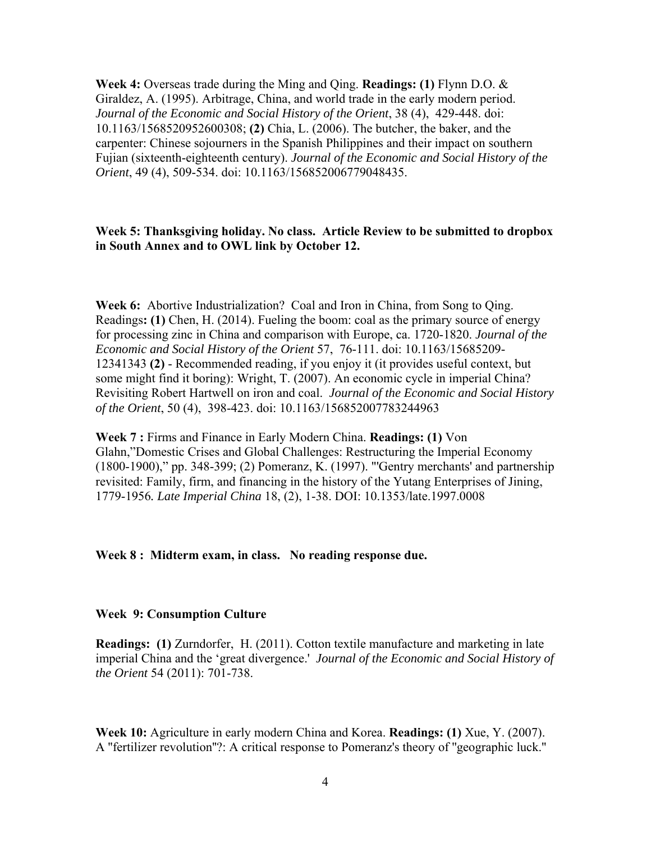**Week 4:** Overseas trade during the Ming and Qing. **Readings: (1)** Flynn D.O. & Giraldez, A. (1995). Arbitrage, China, and world trade in the early modern period. *Journal of the Economic and Social History of the Orient*, 38 (4), 429-448. doi: 10.1163/1568520952600308; **(2)** Chia, L. (2006). The butcher, the baker, and the carpenter: Chinese sojourners in the Spanish Philippines and their impact on southern Fujian (sixteenth-eighteenth century). *Journal of the Economic and Social History of the Orient*, 49 (4), 509-534. doi: 10.1163/156852006779048435.

# **Week 5: Thanksgiving holiday. No class. Article Review to be submitted to dropbox in South Annex and to OWL link by October 12.**

**Week 6:** Abortive Industrialization? Coal and Iron in China, from Song to Qing. Readings**: (1)** Chen, H. (2014). Fueling the boom: coal as the primary source of energy for processing zinc in China and comparison with Europe, ca. 1720-1820. *Journal of the Economic and Social History of the Orient* 57, 76-111. doi: 10.1163/15685209- 12341343 **(2)** - Recommended reading, if you enjoy it (it provides useful context, but some might find it boring): Wright, T. (2007). An economic cycle in imperial China? Revisiting Robert Hartwell on iron and coal. *Journal of the Economic and Social History of the Orient*, 50 (4), 398-423. doi: 10.1163/156852007783244963

**Week 7 :** Firms and Finance in Early Modern China. **Readings: (1)** Von Glahn,"Domestic Crises and Global Challenges: Restructuring the Imperial Economy (1800-1900)," pp. 348-399; (2) Pomeranz, K. (1997). "'Gentry merchants' and partnership revisited: Family, firm, and financing in the history of the Yutang Enterprises of Jining, 1779-1956*. Late Imperial China* 18, (2), 1-38. DOI: 10.1353/late.1997.0008

#### **Week 8 : Midterm exam, in class. No reading response due.**

### **Week 9: Consumption Culture**

**Readings: (1)** Zurndorfer, H. (2011). Cotton textile manufacture and marketing in late imperial China and the 'great divergence.' *Journal of the Economic and Social History of the Orient* 54 (2011): 701-738.

**Week 10:** Agriculture in early modern China and Korea. **Readings: (1)** Xue, Y. (2007). A ''fertilizer revolution''?: A critical response to Pomeranz's theory of ''geographic luck.''